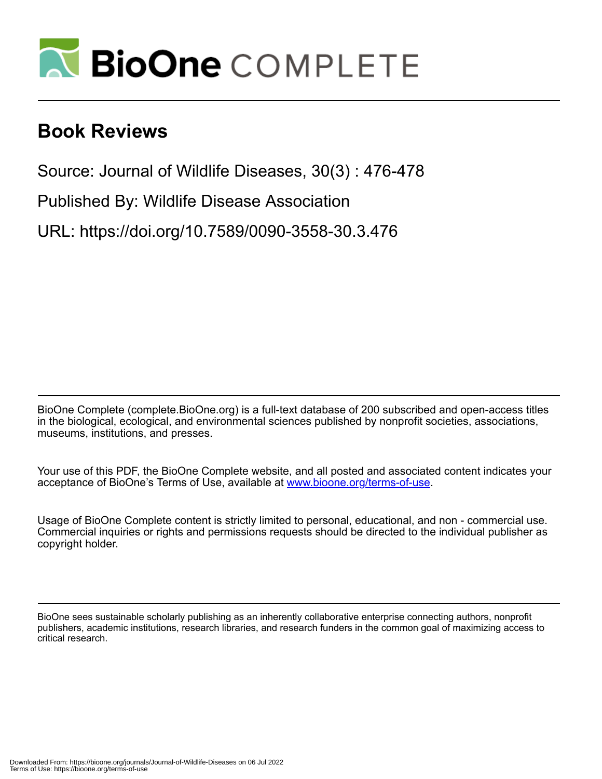

## **Book Reviews**

Source: Journal of Wildlife Diseases, 30(3) : 476-478

Published By: Wildlife Disease Association

URL: https://doi.org/10.7589/0090-3558-30.3.476

BioOne Complete (complete.BioOne.org) is a full-text database of 200 subscribed and open-access titles in the biological, ecological, and environmental sciences published by nonprofit societies, associations, museums, institutions, and presses.

Your use of this PDF, the BioOne Complete website, and all posted and associated content indicates your acceptance of BioOne's Terms of Use, available at www.bioone.org/terms-of-use.

Usage of BioOne Complete content is strictly limited to personal, educational, and non - commercial use. Commercial inquiries or rights and permissions requests should be directed to the individual publisher as copyright holder.

BioOne sees sustainable scholarly publishing as an inherently collaborative enterprise connecting authors, nonprofit publishers, academic institutions, research libraries, and research funders in the common goal of maximizing access to critical research.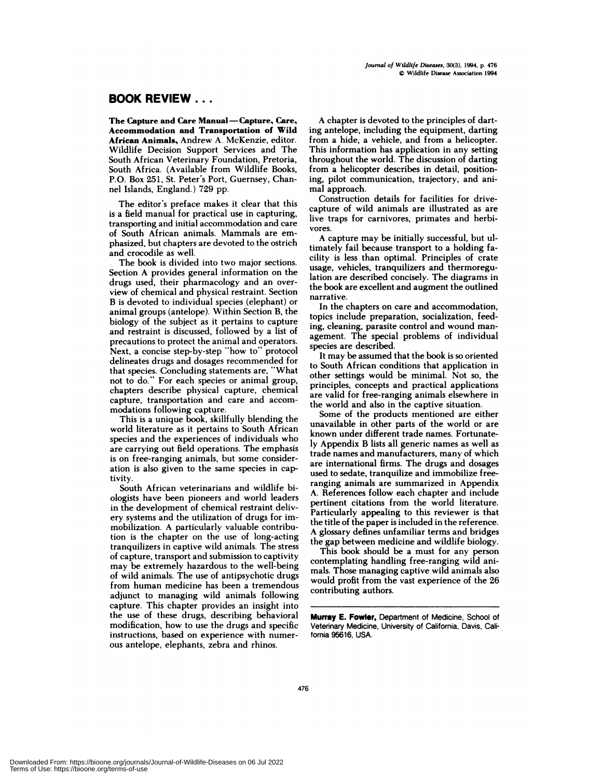## **BOOK REVIEW...**

The Capture and Care Manual-Capture, Care, Accommodation and Transportation of Wild African Animals, Andrew A. McKenzie, editor. Wildlife Decision Support Services and The South African Veterinary Foundation, Pretoria, South Africa. (Available from Wildlife Books, P.O. Box 251, St. Peter's Port, Guernsey, Channel Islands, England.) 729 pp.

The editor's preface makes it clear that this is a field manual for practical use in capturing, transporting and initial accommodation and care of South African animals. Mammals are em phasized, but chapters are devoted to the ostrich and crocodile as well.

The book is divided into two major sections. Section A provides general information on the drugs used, their pharmacology and an over view of chemical and physical restraint. Section B is devoted to individual species (elephant) or animal groups (antelope). Within Section B, the biology of the subject as it pertains to capture and restraint is discussed, followed by a list of precautions to protect the animal and operators. Next, a concise step-by-step "how to" protocol delineates drugs and dosages recommended for that species. Concluding statements are, "What not to do.**"** For each species or animal group, chapters describe physical capture, chemical capture, transportation and care and accom modations following capture.

This is a unique book, skillfully blending the world literature as it pertains to South African species and the experiences of individuals who are carrying out field operations. The emphasis is on free-ranging animals, but some consideration is also given to the same species in captivity.

South African veterinarians and wildlife biologists have been pioneers and world leaders in the development of chemical restraint delivery systems and the utilization of drugs for immobilization. **A** particularly valuable contribution is the chapter on the use of long-acting tranquilizers in captive wild animals. The stress of capture, transport and submission to captivity may be extremely hazardous to the well-being of wild animals. The use of antipsychotic drugs from human medicine has been a tremendous adjunct to managing wild animals following capture. This chapter provides an insight into the use of these drugs, describing behavioral modification, how to use the drugs and specific instructions, based on experience with numer ous antelope, elephants, zebra and rhinos.

A chapter is devoted to the principles of darting antelope, including the equipment, darting from a hide, a vehicle, and from a helicopter. This information has application in any setting throughout the world. The discussion of darting from a helicopter describes in detail, positioning, pilot communication, trajectory, and animal approach.

Construction details for facilities for drivecapture of wild animals are illustrated as are live traps for carnivores, primates and herbi vores.

A capture may be initially successful, but ultimately fail because transport to a holding facility is less than optimal. Principles of crate usage, vehicles, tranquilizers and thermoregulation are described concisely. The diagrams in the book are excellent and augment the outlined narrative.

In the chapters on care and accommodation, topics include preparation, socialization, feeding, cleaning, parasite control and wound man agement. The special problems of individual species are described.

It may be assumed that the book is so oriented to South African conditions that application in other settings would be minimal. Not so, the principles, concepts and practical applications are valid for free-ranging animals elsewhere in the world and also in the captive situation.

Some of the products mentioned are either unavailable in other parts of the world or are known under different trade names. Fortunately Appendix B lists all generic names as well as trade names and manufacturers, many of which are international firms. The drugs and dosages used to sedate, tranquilize and immobilize freeranging animals are summarized in Appendix A. References follow each chapter and include pertinent citations from the world literature. Particularly appealing to this reviewer is that the title of the paper is included in the reference. A glossary defines unfamiliar terms and bridges the gap between medicine and wildlife biology.

This book should be a must for any person contemplating handling free-ranging wild animals. Those managing captive wild animals also would profit from the vast experience of the 26 contributing authors.

Murray E. Fowler, Department of Medicine, School of Veterinary Medicine, University of California, Davis, California 95616, USA.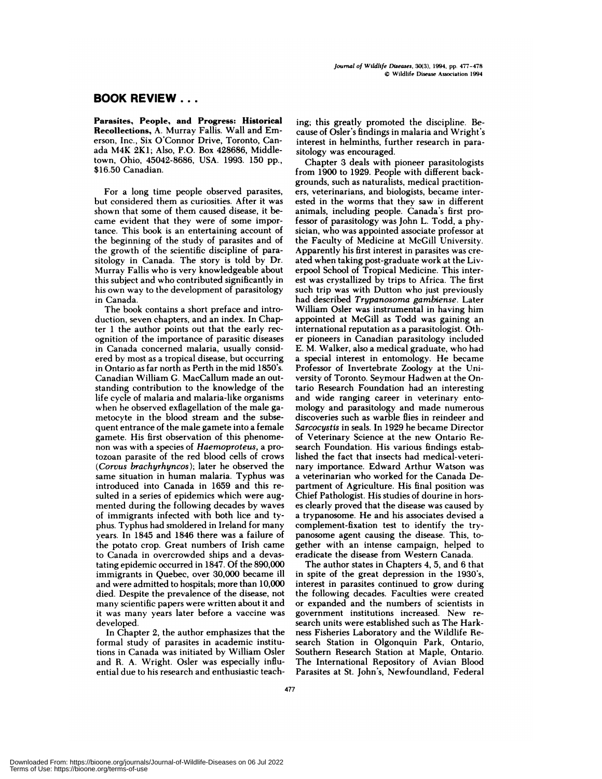## **BOOK REVIEW...**

**Parasites, People, and Progress: Historical Recollections, A. Murray Fallis. Wall and Em** erson, Inc. **,** Six O'Connor Drive, Toronto, Canada **M4K 2K!;** Also, P.O. Box 428686, Middletown, Ohio, 45042-8686, USA. 1993. 150 pp., \$16.50 Canadian.

For a long time people observed parasites, but considered them as curiosities. After it was shown that some of them caused disease, it be came evident that they were of some importance. This book is an entertaining account of the beginning of the study of parasites and of the growth of the scientific discipline of parasitology in Canada. The story is told by Dr. **Murray** Fallis who is very knowledgeable about this subject and who contributed significantly in his own way to the development of parasitology in Canada.

The book contains a short preface and introduction, seven chapters, and an index. In Chapter 1 the author points out that the early recognition of the importance of parasitic diseases in Canada concerned malaria, usually considered by most as a tropical disease, but occurring in Ontario as far north as Perth in the mid 1850's. Canadian William G. MacCallum made an outstanding contribution to the knowledge of the life cycle of malaria and malaria-like organisms when he observed exflagellation of the male gametocyte in the blood stream and the subsequent entrance of the male gamete into a female gamete. His first observation of this phenome non was with a species of *Haemoproteus,* a protozoan parasite of the red blood cells of crows *(Corvus brachyrhyncos);* later he observed the same situation in human malaria. Typhus was introduced into Canada in 1659 and this re suited in a series of epidemics which were augmented during the following decades by waves of immigrants infected with both lice and typhus. Typhus had smoldered in Ireland **for many** years. In 1845 and 1846 there was a failure of the potato crop. Great numbers of Irish came to Canada in overcrowded ships and a devastating epidemic occurred in 1847. Of the 890,000 immigrants in Quebec, over 30,000 became ill and were admitted to hospitals; more than 10,000 died. Despite the prevalence of the disease, not many scientific papers were written about it and it was many years later before a vaccine was developed.

In Chapter 2, the author emphasizes that the formal study of parasites in academic institutions in Canada was initiated by William Osler and R. A. Wright. Osler was especially influential due to his research and enthusiastic teaching; this greatly promoted the discipline. Be cause of Osler's findings in malaria and Wright's interest in helminths, further research in parasitology was encouraged.

Chapter 3 deals with pioneer parasitologists from 1900 to 1929. People with different backgrounds, such as naturalists, medical practitioners, veterinarians, and biologists, became interested in the worms that they saw in different animals, including people. Canada's first professor of parasitology was John L. Todd, a physician, who was appointed associate professor at the Faculty of Medicine at McGill University. Apparently his first interest in parasites was cre ated when taking post-graduate work at the Liverpool School of Tropical Medicine. This interest was crystallized by trips to Africa. The first such trip was with Dutton who just previously had described *Trypanosoma gambiense.* Later William Osler was instrumental in having him appointed at McGill as Todd was gaining an international reputation as a parasitologist. Othen pioneers in Canadian parasitology included E. M. Walker, also a medical graduate, who had a special interest in entomology. He became Professor of Invertebrate Zoology at the Uni versity of Toronto. Seymour Hadwen at the Ontario Research Foundation had an interesting and wide ranging career in veterinary entomology and parasitology and made numerous discoveries such as warble flies in reindeer and *Sarcocystis* in seals. In 1929 he became Director of Veterinary Science at the new Ontario Research Foundation. His various findings established the fact that insects had medical-veterinary importance. Edward Arthur Watson was a veterinarian who worked for the Canada Department of Agriculture. His final position was Chief Pathologist. His studies of dourine in hors **es** clearly proved that the disease was caused by a trypanosome. He and his associates devised a complement-fixation test to identify the trypanosome agent causing the disease. This, together with an intense campaign, helped to eradicate the disease from Western Canada.

The author states in Chapters 4, 5, and 6 that in spite of the great depression in the **1930's,** interest in parasites continued to grow during the following decades. Faculties were created or expanded and the numbers of scientists in government institutions increased. New re search units were established such as The Hark ness Fisheries Laboratory and the Wildlife Research Station in Olgonquin Park, Ontario, Southern Research Station at Maple, Ontario. The International Repository of Avian Blood Parasites at St. John's, Newfoundland, Federal